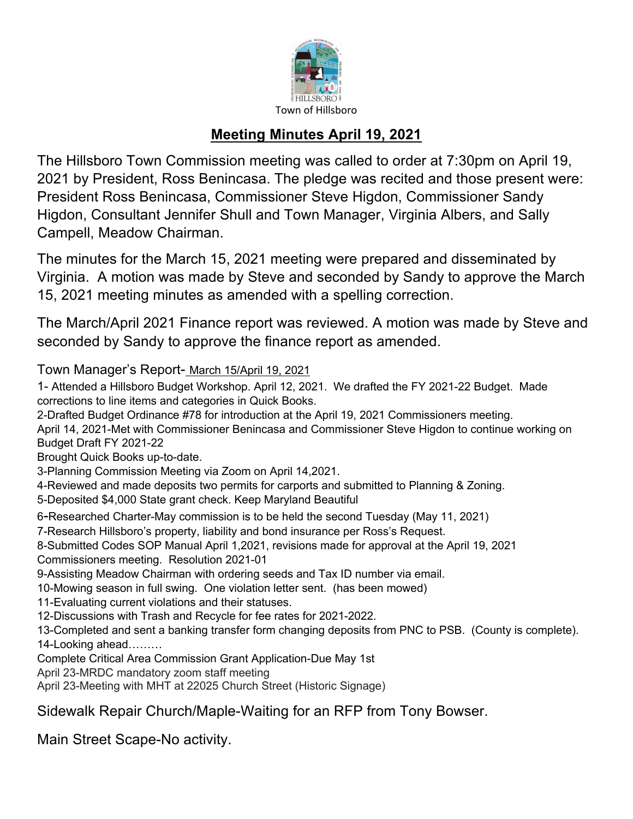

## **Meeting Minutes April 19, 2021**

The Hillsboro Town Commission meeting was called to order at 7:30pm on April 19, 2021 by President, Ross Benincasa. The pledge was recited and those present were: President Ross Benincasa, Commissioner Steve Higdon, Commissioner Sandy Higdon, Consultant Jennifer Shull and Town Manager, Virginia Albers, and Sally Campell, Meadow Chairman.

The minutes for the March 15, 2021 meeting were prepared and disseminated by Virginia. A motion was made by Steve and seconded by Sandy to approve the March 15, 2021 meeting minutes as amended with a spelling correction.

The March/April 2021 Finance report was reviewed. A motion was made by Steve and seconded by Sandy to approve the finance report as amended.

Town Manager's Report- March 15/April 19, 2021

1- Attended a Hillsboro Budget Workshop. April 12, 2021. We drafted the FY 2021-22 Budget. Made corrections to line items and categories in Quick Books.

2-Drafted Budget Ordinance #78 for introduction at the April 19, 2021 Commissioners meeting.

April 14, 2021-Met with Commissioner Benincasa and Commissioner Steve Higdon to continue working on Budget Draft FY 2021-22

Brought Quick Books up-to-date.

3-Planning Commission Meeting via Zoom on April 14,2021.

4-Reviewed and made deposits two permits for carports and submitted to Planning & Zoning.

5-Deposited \$4,000 State grant check. Keep Maryland Beautiful

6-Researched Charter-May commission is to be held the second Tuesday (May 11, 2021)

7-Research Hillsboro's property, liability and bond insurance per Ross's Request.

8-Submitted Codes SOP Manual April 1,2021, revisions made for approval at the April 19, 2021 Commissioners meeting. Resolution 2021-01

9-Assisting Meadow Chairman with ordering seeds and Tax ID number via email.

10-Mowing season in full swing. One violation letter sent. (has been mowed)

11-Evaluating current violations and their statuses.

12-Discussions with Trash and Recycle for fee rates for 2021-2022.

13-Completed and sent a banking transfer form changing deposits from PNC to PSB. (County is complete). 14-Looking ahead………

Complete Critical Area Commission Grant Application-Due May 1st

April 23-MRDC mandatory zoom staff meeting

April 23-Meeting with MHT at 22025 Church Street (Historic Signage)

Sidewalk Repair Church/Maple-Waiting for an RFP from Tony Bowser.

Main Street Scape-No activity.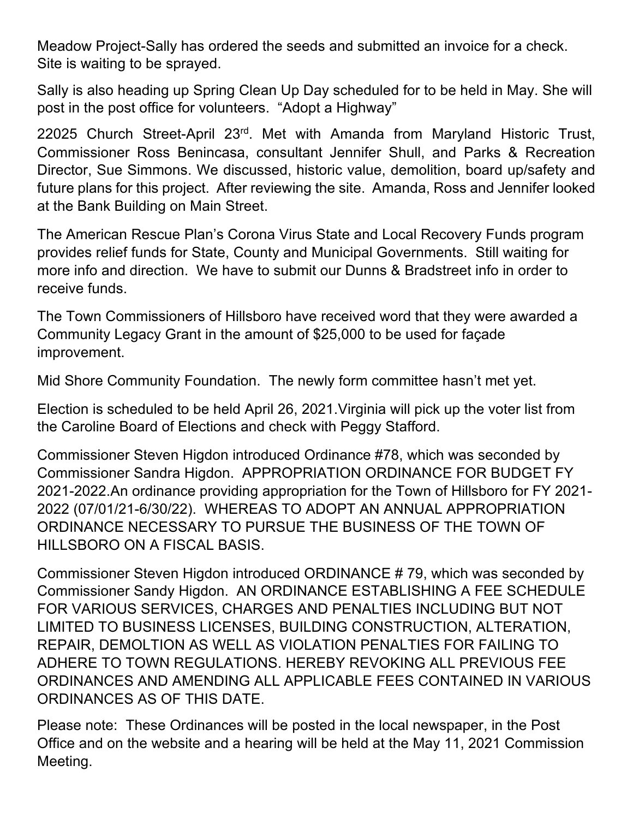Meadow Project-Sally has ordered the seeds and submitted an invoice for a check. Site is waiting to be sprayed.

Sally is also heading up Spring Clean Up Day scheduled for to be held in May. She will post in the post office for volunteers. "Adopt a Highway"

22025 Church Street-April 23rd. Met with Amanda from Maryland Historic Trust, Commissioner Ross Benincasa, consultant Jennifer Shull, and Parks & Recreation Director, Sue Simmons. We discussed, historic value, demolition, board up/safety and future plans for this project. After reviewing the site. Amanda, Ross and Jennifer looked at the Bank Building on Main Street.

The American Rescue Plan's Corona Virus State and Local Recovery Funds program provides relief funds for State, County and Municipal Governments. Still waiting for more info and direction. We have to submit our Dunns & Bradstreet info in order to receive funds.

The Town Commissioners of Hillsboro have received word that they were awarded a Community Legacy Grant in the amount of \$25,000 to be used for façade improvement.

Mid Shore Community Foundation. The newly form committee hasn't met yet.

Election is scheduled to be held April 26, 2021.Virginia will pick up the voter list from the Caroline Board of Elections and check with Peggy Stafford.

Commissioner Steven Higdon introduced Ordinance #78, which was seconded by Commissioner Sandra Higdon. APPROPRIATION ORDINANCE FOR BUDGET FY 2021-2022.An ordinance providing appropriation for the Town of Hillsboro for FY 2021- 2022 (07/01/21-6/30/22). WHEREAS TO ADOPT AN ANNUAL APPROPRIATION ORDINANCE NECESSARY TO PURSUE THE BUSINESS OF THE TOWN OF HILLSBORO ON A FISCAL BASIS.

Commissioner Steven Higdon introduced ORDINANCE # 79, which was seconded by Commissioner Sandy Higdon. AN ORDINANCE ESTABLISHING A FEE SCHEDULE FOR VARIOUS SERVICES, CHARGES AND PENALTIES INCLUDING BUT NOT LIMITED TO BUSINESS LICENSES, BUILDING CONSTRUCTION, ALTERATION, REPAIR, DEMOLTION AS WELL AS VIOLATION PENALTIES FOR FAILING TO ADHERE TO TOWN REGULATIONS. HEREBY REVOKING ALL PREVIOUS FEE ORDINANCES AND AMENDING ALL APPLICABLE FEES CONTAINED IN VARIOUS ORDINANCES AS OF THIS DATE.

Please note: These Ordinances will be posted in the local newspaper, in the Post Office and on the website and a hearing will be held at the May 11, 2021 Commission Meeting.